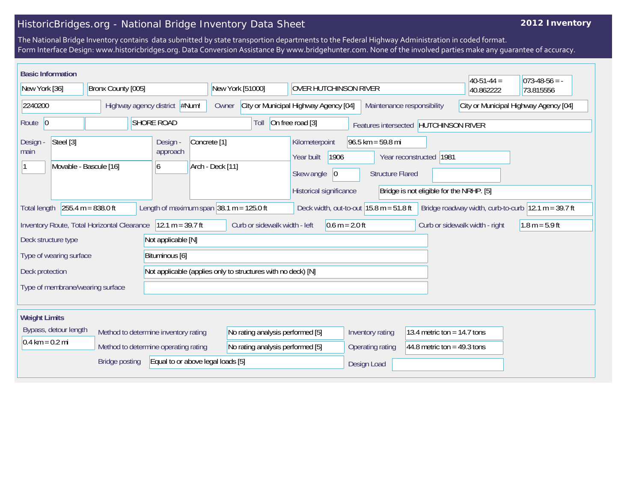## HistoricBridges.org - National Bridge Inventory Data Sheet

## **2012 Inventory**

The National Bridge Inventory contains data submitted by state transportion departments to the Federal Highway Administration in coded format. Form Interface Design: www.historicbridges.org. Data Conversion Assistance By www.bridgehunter.com. None of the involved parties make any guarantee of accuracy.

| <b>Basic Information</b>                                                                                                                                                                                                           |  |                                      |                                                              |                                                                                        |                               |                                          | $40-51-44 =$ | $073-48-56 = -$ |  |
|------------------------------------------------------------------------------------------------------------------------------------------------------------------------------------------------------------------------------------|--|--------------------------------------|--------------------------------------------------------------|----------------------------------------------------------------------------------------|-------------------------------|------------------------------------------|--------------|-----------------|--|
| New York [36]<br>Bronx County [005]                                                                                                                                                                                                |  | New York [51000]                     | <b>OVER HUTCHINSON RIVER</b>                                 |                                                                                        |                               | 40.862222                                | 73.815556    |                 |  |
| 2240200                                                                                                                                                                                                                            |  | Highway agency district #Num!        | City or Municipal Highway Agency [04]<br>Owner               |                                                                                        | Maintenance responsibility    | City or Municipal Highway Agency [04]    |              |                 |  |
| Route $ 0$<br><b>SHORE ROAD</b>                                                                                                                                                                                                    |  |                                      | Toll                                                         | On free road [3]<br>Features intersected HUTCHINSON RIVER                              |                               |                                          |              |                 |  |
| Steel [3]<br>Design -<br>main                                                                                                                                                                                                      |  | Design -<br>approach                 | Concrete <sup>[1]</sup><br>Arch - Deck [11]                  | $96.5$ km = 59.8 mi<br>Kilometerpoint<br>1906<br>Year reconstructed 1981<br>Year built |                               |                                          |              |                 |  |
| Movable - Bascule [16]<br>6                                                                                                                                                                                                        |  |                                      |                                                              | 0 <br>Skew angle                                                                       | <b>Structure Flared</b>       |                                          |              |                 |  |
|                                                                                                                                                                                                                                    |  |                                      |                                                              | Historical significance                                                                |                               | Bridge is not eligible for the NRHP. [5] |              |                 |  |
| $255.4 m = 838.0 ft$<br>Length of maximum span $ 38.1 \text{ m} = 125.0 \text{ ft} $<br>Bridge roadway width, curb-to-curb $ 12.1 m = 39.7 ft$<br>Deck width, out-to-out $15.8 \text{ m} = 51.8 \text{ ft}$<br><b>Total length</b> |  |                                      |                                                              |                                                                                        |                               |                                          |              |                 |  |
| $12.1 m = 39.7 ft$<br>Curb or sidewalk width - left<br>$0.6 m = 2.0 ft$<br>Curb or sidewalk width - right<br>$1.8 m = 5.9 ft$<br>Inventory Route, Total Horizontal Clearance                                                       |  |                                      |                                                              |                                                                                        |                               |                                          |              |                 |  |
| Deck structure type<br>Not applicable [N]                                                                                                                                                                                          |  |                                      |                                                              |                                                                                        |                               |                                          |              |                 |  |
| Type of wearing surface<br>Bituminous [6]                                                                                                                                                                                          |  |                                      |                                                              |                                                                                        |                               |                                          |              |                 |  |
| Deck protection                                                                                                                                                                                                                    |  |                                      | Not applicable (applies only to structures with no deck) [N] |                                                                                        |                               |                                          |              |                 |  |
| Type of membrane/wearing surface                                                                                                                                                                                                   |  |                                      |                                                              |                                                                                        |                               |                                          |              |                 |  |
|                                                                                                                                                                                                                                    |  |                                      |                                                              |                                                                                        |                               |                                          |              |                 |  |
| <b>Weight Limits</b>                                                                                                                                                                                                               |  |                                      |                                                              |                                                                                        |                               |                                          |              |                 |  |
| Bypass, detour length<br>Method to determine inventory rating                                                                                                                                                                      |  | No rating analysis performed [5]     |                                                              | Inventory rating                                                                       | 13.4 metric ton = $14.7$ tons |                                          |              |                 |  |
| $0.4 \text{ km} = 0.2 \text{ mi}$                                                                                                                                                                                                  |  | Method to determine operating rating | No rating analysis performed [5]                             |                                                                                        | Operating rating              | 44.8 metric ton = $49.3$ tons            |              |                 |  |
| Equal to or above legal loads [5]<br><b>Bridge posting</b>                                                                                                                                                                         |  |                                      |                                                              | Design Load                                                                            |                               |                                          |              |                 |  |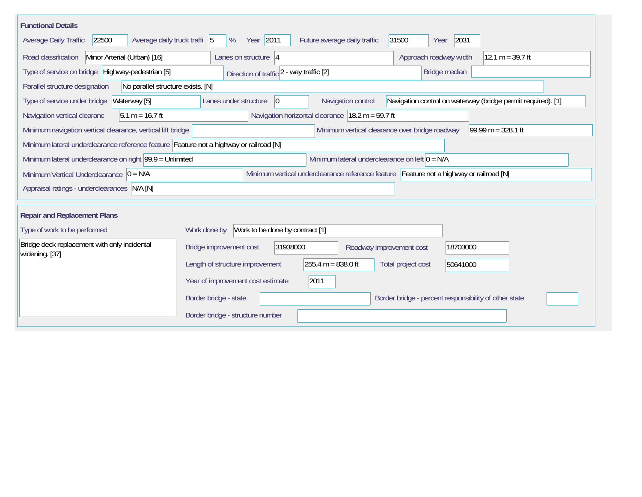| <b>Functional Details</b>                                                                                                             |                                                                                                                            |  |  |  |  |  |  |  |  |  |
|---------------------------------------------------------------------------------------------------------------------------------------|----------------------------------------------------------------------------------------------------------------------------|--|--|--|--|--|--|--|--|--|
| 22500<br>Average daily truck traffi 5<br>Average Daily Traffic                                                                        | Year 2011<br>2031<br>Future average daily traffic<br>31500<br>%<br>Year                                                    |  |  |  |  |  |  |  |  |  |
| Road classification<br>Minor Arterial (Urban) [16]                                                                                    | Approach roadway width<br>12.1 m = $39.7$ ft<br>Lanes on structure $ 4$                                                    |  |  |  |  |  |  |  |  |  |
| Type of service on bridge Highway-pedestrian [5]                                                                                      | Bridge median<br>Direction of traffic 2 - way traffic [2]                                                                  |  |  |  |  |  |  |  |  |  |
| Parallel structure designation<br>No parallel structure exists. [N]                                                                   |                                                                                                                            |  |  |  |  |  |  |  |  |  |
| Waterway [5]<br>Type of service under bridge                                                                                          | Navigation control on waterway (bridge permit required). [1]<br>Navigation control<br>Lanes under structure<br>$ 0\rangle$ |  |  |  |  |  |  |  |  |  |
| Navigation horizontal clearance $18.2 \text{ m} = 59.7 \text{ ft}$<br>Navigation vertical clearanc<br>$5.1 m = 16.7 ft$               |                                                                                                                            |  |  |  |  |  |  |  |  |  |
| $99.99 m = 328.1 ft$<br>Minimum navigation vertical clearance, vertical lift bridge<br>Minimum vertical clearance over bridge roadway |                                                                                                                            |  |  |  |  |  |  |  |  |  |
| Minimum lateral underclearance reference feature Feature not a highway or railroad [N]                                                |                                                                                                                            |  |  |  |  |  |  |  |  |  |
| Minimum lateral underclearance on left $0 = N/A$<br>Minimum lateral underclearance on right 99.9 = Unlimited                          |                                                                                                                            |  |  |  |  |  |  |  |  |  |
| Minimum vertical underclearance reference feature Feature not a highway or railroad [N]<br>Minimum Vertical Underclearance $ 0 = N/A$ |                                                                                                                            |  |  |  |  |  |  |  |  |  |
| Appraisal ratings - underclearances N/A [N]                                                                                           |                                                                                                                            |  |  |  |  |  |  |  |  |  |
|                                                                                                                                       |                                                                                                                            |  |  |  |  |  |  |  |  |  |
| <b>Repair and Replacement Plans</b>                                                                                                   |                                                                                                                            |  |  |  |  |  |  |  |  |  |
| Work to be done by contract [1]<br>Type of work to be performed<br>Work done by                                                       |                                                                                                                            |  |  |  |  |  |  |  |  |  |
| Bridge deck replacement with only incidental<br>widening. [37]                                                                        | 31938000<br>Bridge improvement cost<br>18703000<br>Roadway improvement cost                                                |  |  |  |  |  |  |  |  |  |
|                                                                                                                                       | $255.4 m = 838.0 ft$<br>Length of structure improvement<br>Total project cost<br>50641000                                  |  |  |  |  |  |  |  |  |  |
|                                                                                                                                       | 2011<br>Year of improvement cost estimate                                                                                  |  |  |  |  |  |  |  |  |  |
|                                                                                                                                       | Border bridge - state<br>Border bridge - percent responsibility of other state                                             |  |  |  |  |  |  |  |  |  |
|                                                                                                                                       | Border bridge - structure number                                                                                           |  |  |  |  |  |  |  |  |  |